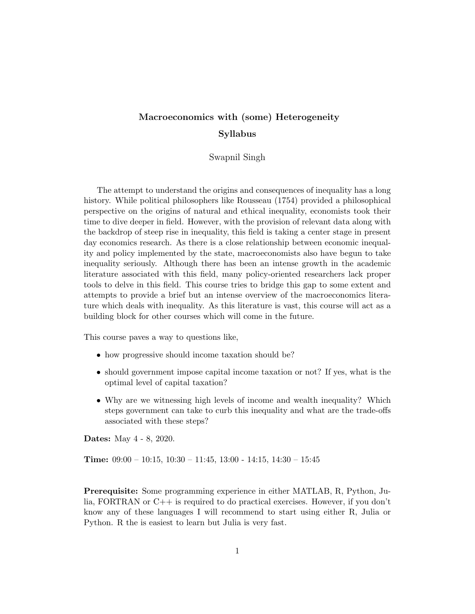# Macroeconomics with (some) Heterogeneity Syllabus

Swapnil Singh

The attempt to understand the origins and consequences of inequality has a long history. While political philosophers like Rousseau (1754) provided a philosophical perspective on the origins of natural and ethical inequality, economists took their time to dive deeper in field. However, with the provision of relevant data along with the backdrop of steep rise in inequality, this field is taking a center stage in present day economics research. As there is a close relationship between economic inequality and policy implemented by the state, macroeconomists also have begun to take inequality seriously. Although there has been an intense growth in the academic literature associated with this field, many policy-oriented researchers lack proper tools to delve in this field. This course tries to bridge this gap to some extent and attempts to provide a brief but an intense overview of the macroeconomics literature which deals with inequality. As this literature is vast, this course will act as a building block for other courses which will come in the future.

This course paves a way to questions like,

- how progressive should income taxation should be?
- should government impose capital income taxation or not? If yes, what is the optimal level of capital taxation?
- Why are we witnessing high levels of income and wealth inequality? Which steps government can take to curb this inequality and what are the trade-offs associated with these steps?

Dates: May 4 - 8, 2020.

**Time:**  $09:00 - 10:15$ ,  $10:30 - 11:45$ ,  $13:00 - 14:15$ ,  $14:30 - 15:45$ 

Prerequisite: Some programming experience in either MATLAB, R, Python, Julia, FORTRAN or C++ is required to do practical exercises. However, if you don't know any of these languages I will recommend to start using either R, Julia or Python. R the is easiest to learn but Julia is very fast.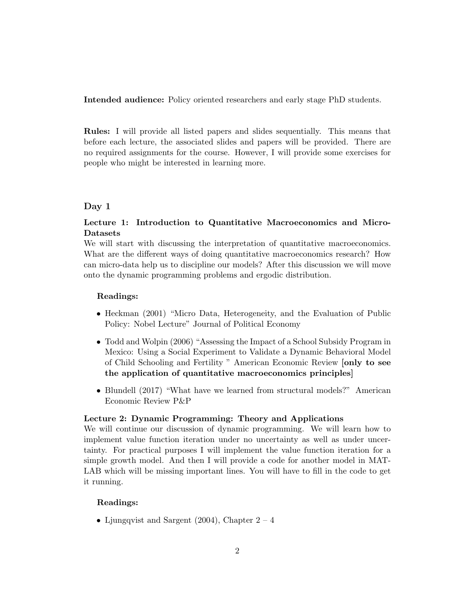Intended audience: Policy oriented researchers and early stage PhD students.

Rules: I will provide all listed papers and slides sequentially. This means that before each lecture, the associated slides and papers will be provided. There are no required assignments for the course. However, I will provide some exercises for people who might be interested in learning more.

## Day 1

## Lecture 1: Introduction to Quantitative Macroeconomics and Micro-Datasets

We will start with discussing the interpretation of quantitative macroeconomics. What are the different ways of doing quantitative macroeconomics research? How can micro-data help us to discipline our models? After this discussion we will move onto the dynamic programming problems and ergodic distribution.

#### Readings:

- Heckman (2001) "Micro Data, Heterogeneity, and the Evaluation of Public Policy: Nobel Lecture" Journal of Political Economy
- Todd and Wolpin (2006) "Assessing the Impact of a School Subsidy Program in Mexico: Using a Social Experiment to Validate a Dynamic Behavioral Model of Child Schooling and Fertility " American Economic Review [only to see the application of quantitative macroeconomics principles]
- Blundell (2017) "What have we learned from structural models?" American Economic Review P&P

## Lecture 2: Dynamic Programming: Theory and Applications

We will continue our discussion of dynamic programming. We will learn how to implement value function iteration under no uncertainty as well as under uncertainty. For practical purposes I will implement the value function iteration for a simple growth model. And then I will provide a code for another model in MAT-LAB which will be missing important lines. You will have to fill in the code to get it running.

## Readings:

• Ljungqvist and Sargent (2004), Chapter  $2 - 4$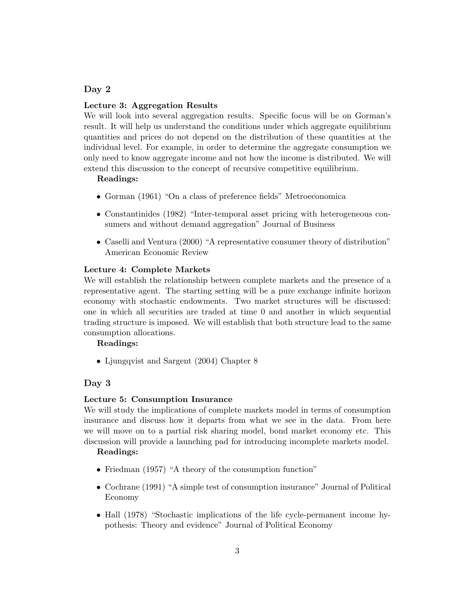## Day 2

#### Lecture 3: Aggregation Results

We will look into several aggregation results. Specific focus will be on Gorman's result. It will help us understand the conditions under which aggregate equilibrium quantities and prices do not depend on the distribution of these quantities at the individual level. For example, in order to determine the aggregate consumption we only need to know aggregate income and not how the income is distributed. We will extend this discussion to the concept of recursive competitive equilibrium.

#### Readings:

- Gorman (1961) "On a class of preference fields" Metroeconomica
- Constantinides (1982) "Inter-temporal asset pricing with heterogeneous consumers and without demand aggregation" Journal of Business
- Caselli and Ventura (2000) "A representative consumer theory of distribution" American Economic Review

#### Lecture 4: Complete Markets

We will establish the relationship between complete markets and the presence of a representative agent. The starting setting will be a pure exchange infinite horizon economy with stochastic endowments. Two market structures will be discussed: one in which all securities are traded at time 0 and another in which sequential trading structure is imposed. We will establish that both structure lead to the same consumption allocations.

#### Readings:

• Ljungqvist and Sargent (2004) Chapter 8

#### Day 3

#### Lecture 5: Consumption Insurance

We will study the implications of complete markets model in terms of consumption insurance and discuss how it departs from what we see in the data. From here we will move on to a partial risk sharing model, bond market economy etc. This discussion will provide a launching pad for introducing incomplete markets model.

#### Readings:

- Friedman (1957) "A theory of the consumption function"
- Cochrane (1991) "A simple test of consumption insurance" Journal of Political Economy
- Hall (1978) "Stochastic implications of the life cycle-permanent income hypothesis: Theory and evidence" Journal of Political Economy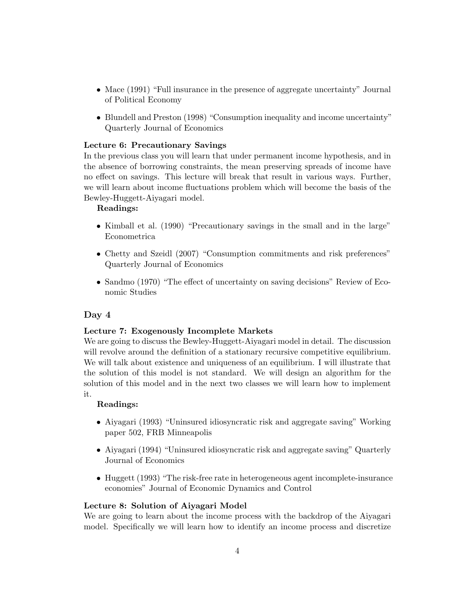- Mace (1991) "Full insurance in the presence of aggregate uncertainty" Journal of Political Economy
- Blundell and Preston (1998) "Consumption inequality and income uncertainty" Quarterly Journal of Economics

## Lecture 6: Precautionary Savings

In the previous class you will learn that under permanent income hypothesis, and in the absence of borrowing constraints, the mean preserving spreads of income have no effect on savings. This lecture will break that result in various ways. Further, we will learn about income fluctuations problem which will become the basis of the Bewley-Huggett-Aiyagari model.

## Readings:

- Kimball et al. (1990) "Precautionary savings in the small and in the large" Econometrica
- Chetty and Szeidl (2007) "Consumption commitments and risk preferences" Quarterly Journal of Economics
- Sandmo (1970) "The effect of uncertainty on saving decisions" Review of Economic Studies

## Day 4

## Lecture 7: Exogenously Incomplete Markets

We are going to discuss the Bewley-Huggett-Aiyagari model in detail. The discussion will revolve around the definition of a stationary recursive competitive equilibrium. We will talk about existence and uniqueness of an equilibrium. I will illustrate that the solution of this model is not standard. We will design an algorithm for the solution of this model and in the next two classes we will learn how to implement it.

#### Readings:

- Aiyagari (1993) "Uninsured idiosyncratic risk and aggregate saving" Working paper 502, FRB Minneapolis
- Aiyagari (1994) "Uninsured idiosyncratic risk and aggregate saving" Quarterly Journal of Economics
- Huggett (1993) "The risk-free rate in heterogeneous agent incomplete-insurance economies" Journal of Economic Dynamics and Control

#### Lecture 8: Solution of Aiyagari Model

We are going to learn about the income process with the backdrop of the Aiyagari model. Specifically we will learn how to identify an income process and discretize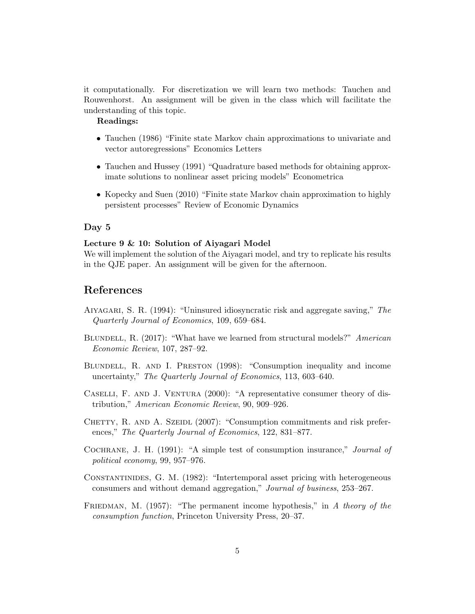it computationally. For discretization we will learn two methods: Tauchen and Rouwenhorst. An assignment will be given in the class which will facilitate the understanding of this topic.

## Readings:

- Tauchen (1986) "Finite state Markov chain approximations to univariate and vector autoregressions" Economics Letters
- Tauchen and Hussey (1991) "Quadrature based methods for obtaining approximate solutions to nonlinear asset pricing models" Econometrica
- Kopecky and Suen (2010) "Finite state Markov chain approximation to highly persistent processes" Review of Economic Dynamics

#### Day 5

#### Lecture 9 & 10: Solution of Aiyagari Model

We will implement the solution of the Aiyagari model, and try to replicate his results in the QJE paper. An assignment will be given for the afternoon.

## References

- Aiyagari, S. R. (1994): "Uninsured idiosyncratic risk and aggregate saving," The Quarterly Journal of Economics, 109, 659–684.
- BLUNDELL, R. (2017): "What have we learned from structural models?" American Economic Review, 107, 287–92.
- Blundell, R. and I. Preston (1998): "Consumption inequality and income uncertainty," The Quarterly Journal of Economics, 113, 603–640.
- CASELLI, F. AND J. VENTURA (2000): "A representative consumer theory of distribution," American Economic Review, 90, 909–926.
- CHETTY, R. AND A. SZEIDL (2007): "Consumption commitments and risk preferences," The Quarterly Journal of Economics, 122, 831–877.
- Cochrane, J. H. (1991): "A simple test of consumption insurance," Journal of political economy, 99, 957–976.
- Constantinides, G. M. (1982): "Intertemporal asset pricing with heterogeneous consumers and without demand aggregation," Journal of business, 253–267.
- FRIEDMAN, M.  $(1957)$ : "The permanent income hypothesis," in A theory of the consumption function, Princeton University Press, 20–37.